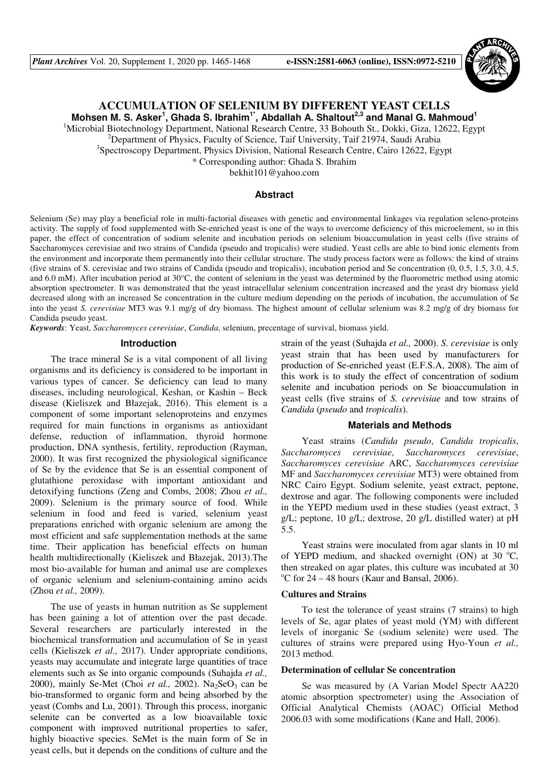

# **ACCUMULATION OF SELENIUM BY DIFFERENT YEAST CELLS**

**Mohsen M. S. Asker<sup>1</sup> , Ghada S. Ibrahim1\*, Abdallah A. Shaltout2,3 and Manal G. Mahmoud<sup>1</sup>**

<sup>1</sup>Microbial Biotechnology Department, National Research Centre, 33 Bohouth St., Dokki, Giza, 12622, Egypt

<sup>2</sup>Department of Physics, Faculty of Science, Taif University, Taif 21974, Saudi Arabia

<sup>3</sup>Spectroscopy Department, Physics Division, National Research Centre, Cairo 12622, Egypt

\* Corresponding author: Ghada S. Ibrahim

bekhit101@yahoo.com

#### **Abstract**

Selenium (Se) may play a beneficial role in multi-factorial diseases with genetic and environmental linkages via regulation seleno-proteins activity. The supply of food supplemented with Se-enriched yeast is one of the ways to overcome deficiency of this microelement, so in this paper, the effect of concentration of sodium selenite and incubation periods on selenium bioaccumulation in yeast cells (five strains of Saccharomyces cerevisiae and two strains of Candida (pseudo and tropicalis) were studied. Yeast cells are able to bind ionic elements from the environment and incorporate them permanently into their cellular structure. The study process factors were as follows: the kind of strains (five strains of S. cerevisiae and two strains of Candida (pseudo and tropicalis), incubation period and Se concentration (0, 0.5, 1.5, 3.0, 4.5, and 6.0 mM). After incubation period at 30°C, the content of selenium in the yeast was determined by the fluorometric method using atomic absorption spectrometer. It was demonstrated that the yeast intracellular selenium concentration increased and the yeast dry biomass yield decreased along with an increased Se concentration in the culture medium depending on the periods of incubation, the accumulation of Se into the yeast *S. cerevisiae* MT3 was 9.1 mg/g of dry biomass. The highest amount of cellular selenium was 8.2 mg/g of dry biomass for Candida pseudo yeast.

*Keywords*: Yeast, *Saccharomyces cerevisiae*, *Candida*, selenium, precentage of survival, biomass yield.

### **Introduction**

The trace mineral Se is a vital component of all living organisms and its deficiency is considered to be important in various types of cancer. Se deficiency can lead to many diseases, including neurological, Keshan, or Kashin – Beck disease (Kieliszek and Błazejak, 2016). This element is a component of some important selenoproteins and enzymes required for main functions in organisms as antioxidant defense, reduction of inflammation, thyroid hormone production, DNA synthesis, fertility, reproduction (Rayman, 2000). It was first recognized the physiological significance of Se by the evidence that Se is an essential component of glutathione peroxidase with important antioxidant and detoxifying functions (Zeng and Combs, 2008; Zhou *et al.,* 2009). Selenium is the primary source of food. While selenium in food and feed is varied, selenium yeast preparations enriched with organic selenium are among the most efficient and safe supplementation methods at the same time. Their application has beneficial effects on human health multidirectionally (Kieliszek and Błazejak, 2013).The most bio-available for human and animal use are complexes of organic selenium and selenium-containing amino acids (Zhou *et al.,* 2009).

The use of yeasts in human nutrition as Se supplement has been gaining a lot of attention over the past decade. Several researchers are particularly interested in the biochemical transformation and accumulation of Se in yeast cells (Kieliszek *et al.,* 2017). Under appropriate conditions, yeasts may accumulate and integrate large quantities of trace elements such as Se into organic compounds (Suhajda *et al.,* 2000), mainly Se-Met (Choi *et al.*, 2002). Na<sub>2</sub>SeO<sub>3</sub> can be bio-transformed to organic form and being absorbed by the yeast (Combs and Lu, 2001). Through this process, inorganic selenite can be converted as a low bioavailable toxic component with improved nutritional properties to safer, highly bioactive species. SeMet is the main form of Se in yeast cells, but it depends on the conditions of culture and the

strain of the yeast (Suhajda *et al.,* 2000). *S. cerevisiae* is only yeast strain that has been used by manufacturers for production of Se-enriched yeast (E.F.S.A, 2008). The aim of this work is to study the effect of concentration of sodium selenite and incubation periods on Se bioaccumulation in yeast cells (five strains of *S. cerevisiae* and tow strains of *Candida* (*pseudo* and *tropicalis*).

## **Materials and Methods**

Yeast strains (*Candida pseudo*, *Candida tropicalis*, *Saccharomyces cerevisiae*, *Saccharomyces cerevisiae*, *Saccharomyces cerevisiae* ARC, *Saccharomyces cerevisiae* MF and *Saccharomyces cerevisiae* MT3) were obtained from NRC Cairo Egypt. Sodium selenite, yeast extract, peptone, dextrose and agar. The following components were included in the YEPD medium used in these studies (yeast extract, 3 g/L; peptone, 10 g/L; dextrose, 20 g/L distilled water) at pH 5.5.

Yeast strains were inoculated from agar slants in 10 ml of YEPD medium, and shacked overnight (ON) at 30  $^{\circ}$ C, then streaked on agar plates, this culture was incubated at 30  $\mathrm{^{\circ}C}$  for 24 – 48 hours (Kaur and Bansal, 2006).

#### **Cultures and Strains**

To test the tolerance of yeast strains (7 strains) to high levels of Se, agar plates of yeast mold (YM) with different levels of inorganic Se (sodium selenite) were used. The cultures of strains were prepared using Hyo-Youn *et al.,* 2013 method.

# **Determination of cellular Se concentration**

Se was measured by (A Varian Model Spectr AA220 atomic absorption spectrometer) using the Association of Official Analytical Chemists (AOAC) Official Method 2006.03 with some modifications (Kane and Hall, 2006).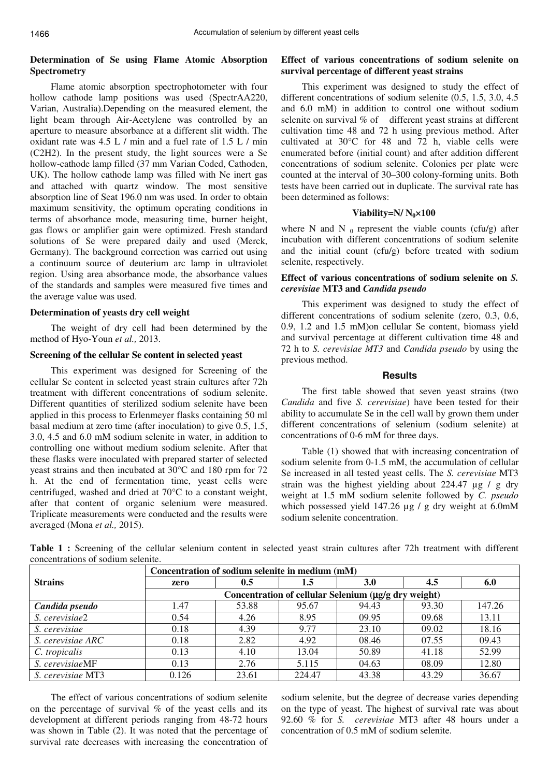# **Determination of Se using Flame Atomic Absorption Spectrometry**

Flame atomic absorption spectrophotometer with four hollow cathode lamp positions was used (SpectrAA220, Varian, Australia).Depending on the measured element, the light beam through Air-Acetylene was controlled by an aperture to measure absorbance at a different slit width. The oxidant rate was 4.5 L / min and a fuel rate of 1.5 L / min (C2H2). In the present study, the light sources were a Se hollow-cathode lamp filled (37 mm Varian Coded, Cathoden, UK). The hollow cathode lamp was filled with Ne inert gas and attached with quartz window. The most sensitive absorption line of Seat 196.0 nm was used. In order to obtain maximum sensitivity, the optimum operating conditions in terms of absorbance mode, measuring time, burner height, gas flows or amplifier gain were optimized. Fresh standard solutions of Se were prepared daily and used (Merck, Germany). The background correction was carried out using a continuum source of deuterium arc lamp in ultraviolet region. Using area absorbance mode, the absorbance values of the standards and samples were measured five times and the average value was used.

## **Determination of yeasts dry cell weight**

The weight of dry cell had been determined by the method of Hyo-Youn *et al.,* 2013.

## **Screening of the cellular Se content in selected yeast**

This experiment was designed for Screening of the cellular Se content in selected yeast strain cultures after 72h treatment with different concentrations of sodium selenite. Different quantities of sterilized sodium selenite have been applied in this process to Erlenmeyer flasks containing 50 ml basal medium at zero time (after inoculation) to give 0.5, 1.5, 3.0, 4.5 and 6.0 mM sodium selenite in water, in addition to controlling one without medium sodium selenite. After that these flasks were inoculated with prepared starter of selected yeast strains and then incubated at 30°C and 180 rpm for 72 h. At the end of fermentation time, yeast cells were centrifuged, washed and dried at 70°C to a constant weight, after that content of organic selenium were measured. Triplicate measurements were conducted and the results were averaged (Mona *et al.,* 2015).

# **Effect of various concentrations of sodium selenite on survival percentage of different yeast strains**

This experiment was designed to study the effect of different concentrations of sodium selenite (0.5, 1.5, 3.0, 4.5 and 6.0 mM) in addition to control one without sodium selenite on survival % of different yeast strains at different cultivation time 48 and 72 h using previous method. After cultivated at 30°C for 48 and 72 h, viable cells were enumerated before (initial count) and after addition different concentrations of sodium selenite. Colonies per plate were counted at the interval of 30–300 colony-forming units. Both tests have been carried out in duplicate. The survival rate has been determined as follows:

### **Viability=N/**  $N_0 \times 100$

where N and N  $_0$  represent the viable counts (cfu/g) after incubation with different concentrations of sodium selenite and the initial count (cfu/g) before treated with sodium selenite, respectively.

# **Effect of various concentrations of sodium selenite on** *S. cerevisiae* **MT3 and** *Candida pseudo*

This experiment was designed to study the effect of different concentrations of sodium selenite (zero, 0.3, 0.6, 0.9, 1.2 and 1.5 mM)on cellular Se content, biomass yield and survival percentage at different cultivation time 48 and 72 h to *S. cerevisiae MT3* and *Candida pseudo* by using the previous method.

### **Results**

The first table showed that seven yeast strains (two *Candida* and five *S. cerevisiae*) have been tested for their ability to accumulate Se in the cell wall by grown them under different concentrations of selenium (sodium selenite) at concentrations of 0-6 mM for three days.

Table (1) showed that with increasing concentration of sodium selenite from 0-1.5 mM, the accumulation of cellular Se increased in all tested yeast cells. The *S. cerevisiae* MT3 strain was the highest yielding about 224.47 µg / g dry weight at 1.5 mM sodium selenite followed by *C. pseudo* which possessed yield  $147.26 \mu g / g$  dry weight at 6.0mM sodium selenite concentration.

|                   | Concentration of sodium selenite in medium (mM)      |       |         |            |       |        |  |  |  |  |
|-------------------|------------------------------------------------------|-------|---------|------------|-------|--------|--|--|--|--|
| <b>Strains</b>    | zero                                                 | 0.5   | $1.5\,$ | <b>3.0</b> | 4.5   | 6.0    |  |  |  |  |
|                   | Concentration of cellular Selenium (µg/g dry weight) |       |         |            |       |        |  |  |  |  |
| Candida pseudo    | 1.47                                                 | 53.88 | 95.67   | 94.43      | 93.30 | 147.26 |  |  |  |  |
| S. cerevisiae2    | 0.54                                                 | 4.26  | 8.95    | 09.95      | 09.68 | 13.11  |  |  |  |  |
| S. cerevisiae     | 0.18                                                 | 4.39  | 9.77    | 23.10      | 09.02 | 18.16  |  |  |  |  |
| S. cerevisiae ARC | 0.18                                                 | 2.82  | 4.92    | 08.46      | 07.55 | 09.43  |  |  |  |  |
| C. tropicalis     | 0.13                                                 | 4.10  | 13.04   | 50.89      | 41.18 | 52.99  |  |  |  |  |
| S. cerevisiaeMF   | 0.13                                                 | 2.76  | 5.115   | 04.63      | 08.09 | 12.80  |  |  |  |  |
| S. cerevisiae MT3 | 0.126                                                | 23.61 | 224.47  | 43.38      | 43.29 | 36.67  |  |  |  |  |

**Table 1 :** Screening of the cellular selenium content in selected yeast strain cultures after 72h treatment with different concentrations of sodium selenite.

The effect of various concentrations of sodium selenite on the percentage of survival % of the yeast cells and its development at different periods ranging from 48-72 hours was shown in Table (2). It was noted that the percentage of survival rate decreases with increasing the concentration of sodium selenite, but the degree of decrease varies depending on the type of yeast. The highest of survival rate was about 92.60 % for *S. cerevisiae* MT3 after 48 hours under a concentration of 0.5 mM of sodium selenite.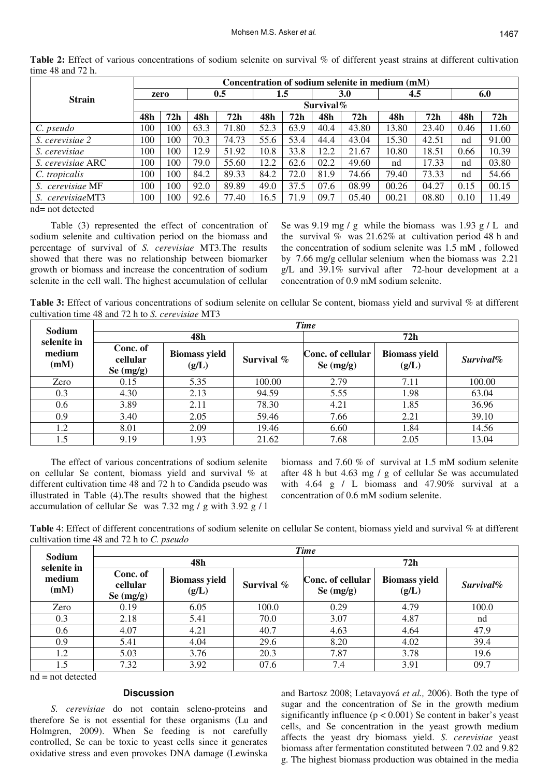|                   | Concentration of sodium selenite in medium (mM) |     |      |       |         |      |            |       |       |       |      |       |
|-------------------|-------------------------------------------------|-----|------|-------|---------|------|------------|-------|-------|-------|------|-------|
| <b>Strain</b>     | zero                                            |     | 0.5  |       | $1.5\,$ |      | <b>3.0</b> |       | 4.5   |       | 6.0  |       |
|                   | Survival $\%$                                   |     |      |       |         |      |            |       |       |       |      |       |
|                   | 48h                                             | 72h | 48h  | 72h   | 48h     | 72h  | 48h        | 72h   | 48h   | 72h   | 48h  | 72h   |
| C. pseudo         | 100                                             | 100 | 63.3 | 71.80 | 52.3    | 63.9 | 40.4       | 43.80 | 13.80 | 23.40 | 0.46 | 11.60 |
| S. cerevisiae 2   | 100                                             | 100 | 70.3 | 74.73 | 55.6    | 53.4 | 44.4       | 43.04 | 15.30 | 42.51 | nd   | 91.00 |
| S. cerevisiae     | 100                                             | 100 | 12.9 | 51.92 | 10.8    | 33.8 | 12.2       | 21.67 | 10.80 | 18.51 | 0.66 | 10.39 |
| S. cerevisiae ARC | 100                                             | 100 | 79.0 | 55.60 | 12.2    | 62.6 | 02.2       | 49.60 | nd    | 17.33 | nd   | 03.80 |
| C. tropicalis     | 100                                             | 100 | 84.2 | 89.33 | 84.2    | 72.0 | 81.9       | 74.66 | 79.40 | 73.33 | nd   | 54.66 |
| S. cerevisiae MF  | 100                                             | 100 | 92.0 | 89.89 | 49.0    | 37.5 | 07.6       | 08.99 | 00.26 | 04.27 | 0.15 | 00.15 |
| S. cerevisiaeMT3  | 100                                             | 100 | 92.6 | 77.40 | 16.5    | 71.9 | 09.7       | 05.40 | 00.21 | 08.80 | 0.10 | 11.49 |
| nd= not detected  |                                                 |     |      |       |         |      |            |       |       |       |      |       |

Table 2: Effect of various concentrations of sodium selenite on survival % of different yeast strains at different cultivation time 48 and 72 h.

nd= not detected

Table (3) represented the effect of concentration of sodium selenite and cultivation period on the biomass and percentage of survival of *S. cerevisiae* MT3*.*The results showed that there was no relationship between biomarker growth or biomass and increase the concentration of sodium selenite in the cell wall. The highest accumulation of cellular Se was 9.19 mg / g while the biomass was  $1.93$  g / L and the survival  $\%$  was 21.62% at cultivation period 48 h and the concentration of sodium selenite was 1.5 mM , followed by 7.66 mg/g cellular selenium when the biomass was 2.21 g/L and 39.1% survival after 72-hour development at a concentration of 0.9 mM sodium selenite.

**Table 3:** Effect of various concentrations of sodium selenite on cellular Se content, biomass yield and survival % at different cultivation time 48 and 72 h to *S. cerevisiae* MT3

| Sodium                        | <b>Time</b>                         |                               |               |                                  |                               |              |  |  |  |  |
|-------------------------------|-------------------------------------|-------------------------------|---------------|----------------------------------|-------------------------------|--------------|--|--|--|--|
| selenite in<br>medium<br>(mM) |                                     | 48h                           |               | 72h                              |                               |              |  |  |  |  |
|                               | Conc. of<br>cellular<br>Se $(mg/g)$ | <b>Biomass yield</b><br>(g/L) | Survival $\%$ | Conc. of cellular<br>Se $(mg/g)$ | <b>Biomass yield</b><br>(g/L) | $Survival\%$ |  |  |  |  |
| Zero                          | 0.15                                | 5.35                          | 100.00        | 2.79                             | 7.11                          | 100.00       |  |  |  |  |
| 0.3                           | 4.30                                | 2.13                          | 94.59         | 5.55                             | 1.98                          | 63.04        |  |  |  |  |
| 0.6                           | 3.89                                | 2.11                          | 78.30         | 4.21                             | 1.85                          | 36.96        |  |  |  |  |
| 0.9                           | 3.40                                | 2.05                          | 59.46         | 7.66                             | 2.21                          | 39.10        |  |  |  |  |
| 1.2                           | 8.01                                | 2.09                          | 19.46         | 6.60                             | 1.84                          | 14.56        |  |  |  |  |
| 1.5                           | 9.19                                | 1.93                          | 21.62         | 7.68                             | 2.05                          | 13.04        |  |  |  |  |

The effect of various concentrations of sodium selenite on cellular Se content, biomass yield and survival % at different cultivation time 48 and 72 h to *C*andida pseudo was illustrated in Table (4).The results showed that the highest accumulation of cellular Se was 7.32 mg / g with 3.92 g / l

biomass and 7.60 % of survival at 1.5 mM sodium selenite after 48 h but 4.63 mg / g of cellular Se was accumulated with  $4.64 \text{ g}$  / L biomass and  $47.90\%$  survival at a concentration of 0.6 mM sodium selenite.

**Table** 4: Effect of different concentrations of sodium selenite on cellular Se content, biomass yield and survival % at different cultivation time 48 and 72 h to *C. pseudo*

| Sodium                        | <b>Time</b>                         |                               |            |                                  |                               |           |  |  |  |  |
|-------------------------------|-------------------------------------|-------------------------------|------------|----------------------------------|-------------------------------|-----------|--|--|--|--|
| selenite in<br>medium<br>(mM) |                                     | 48h                           |            | 72h                              |                               |           |  |  |  |  |
|                               | Conc. of<br>cellular<br>Se $(mg/g)$ | <b>Biomass yield</b><br>(g/L) | Survival % | Conc. of cellular<br>Se $(mg/g)$ | <b>Biomass yield</b><br>(g/L) | Survival% |  |  |  |  |
| Zero                          | 0.19                                | 6.05                          | 100.0      | 0.29                             | 4.79                          | 100.0     |  |  |  |  |
| 0.3                           | 2.18                                | 5.41                          | 70.0       | 3.07                             | 4.87                          | nd        |  |  |  |  |
| 0.6                           | 4.07                                | 4.21                          | 40.7       | 4.63                             | 4.64                          | 47.9      |  |  |  |  |
| 0.9                           | 5.41                                | 4.04                          | 29.6       | 8.20                             | 4.02                          | 39.4      |  |  |  |  |
| 1.2                           | 5.03                                | 3.76                          | 20.3       | 7.87                             | 3.78                          | 19.6      |  |  |  |  |
| 1.5                           | 7.32                                | 3.92                          | 07.6       | 7.4                              | 3.91                          | 09.7      |  |  |  |  |

 $nd = not detected$ 

# **Discussion**

*S. cerevisiae* do not contain seleno-proteins and therefore Se is not essential for these organisms (Lu and Holmgren, 2009). When Se feeding is not carefully controlled, Se can be toxic to yeast cells since it generates oxidative stress and even provokes DNA damage (Lewinska

and Bartosz 2008; Letavayová *et al.,* 2006). Both the type of sugar and the concentration of Se in the growth medium significantly influence  $(p < 0.001)$  Se content in baker's yeast cells, and Se concentration in the yeast growth medium affects the yeast dry biomass yield. *S. cerevisiae* yeast biomass after fermentation constituted between 7.02 and 9.82 g. The highest biomass production was obtained in the media